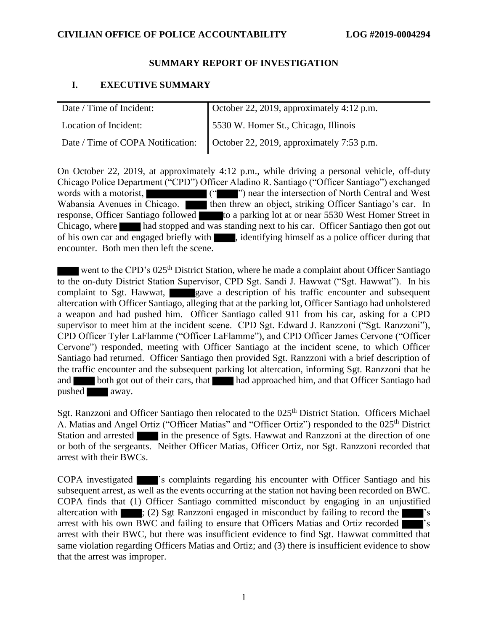### **SUMMARY REPORT OF INVESTIGATION**

## **I. EXECUTIVE SUMMARY**

| Date / Time of Incident: | October 22, 2019, approximately 4:12 p.m.                                   |
|--------------------------|-----------------------------------------------------------------------------|
| Location of Incident:    | 5530 W. Homer St., Chicago, Illinois                                        |
|                          | Date / Time of COPA Notification: Corober 22, 2019, approximately 7:53 p.m. |

On October 22, 2019, at approximately 4:12 p.m., while driving a personal vehicle, off-duty Chicago Police Department ("CPD") Officer Aladino R. Santiago ("Officer Santiago") exchanged words with a motorist,  $($ " ") near the intersection of North Central and West Wabansia Avenues in Chicago. **The striking Officer Santiago's car.** In response, Officer Santiago followed to a parking lot at or near 5530 West Homer Street in Chicago, where had stopped and was standing next to his car. Officer Santiago then got out of his own car and engaged briefly with , identifying himself as a police officer during that encounter. Both men then left the scene.

went to the CPD's  $025<sup>th</sup>$  District Station, where he made a complaint about Officer Santiago to the on-duty District Station Supervisor, CPD Sgt. Sandi J. Hawwat ("Sgt. Hawwat"). In his complaint to Sgt. Hawwat, gave a description of his traffic encounter and subsequent altercation with Officer Santiago, alleging that at the parking lot, Officer Santiago had unholstered a weapon and had pushed him. Officer Santiago called 911 from his car, asking for a CPD supervisor to meet him at the incident scene. CPD Sgt. Edward J. Ranzzoni ("Sgt. Ranzzoni"), CPD Officer Tyler LaFlamme ("Officer LaFlamme"), and CPD Officer James Cervone ("Officer Cervone") responded, meeting with Officer Santiago at the incident scene, to which Officer Santiago had returned. Officer Santiago then provided Sgt. Ranzzoni with a brief description of the traffic encounter and the subsequent parking lot altercation, informing Sgt. Ranzzoni that he and both got out of their cars, that had approached him, and that Officer Santiago had pushed away.

Sgt. Ranzzoni and Officer Santiago then relocated to the 025<sup>th</sup> District Station. Officers Michael A. Matias and Angel Ortiz ("Officer Matias" and "Officer Ortiz") responded to the 025<sup>th</sup> District Station and arrested in the presence of Sgts. Hawwat and Ranzzoni at the direction of one or both of the sergeants. Neither Officer Matias, Officer Ortiz, nor Sgt. Ranzzoni recorded that arrest with their BWCs.

COPA investigated **'s** complaints regarding his encounter with Officer Santiago and his subsequent arrest, as well as the events occurring at the station not having been recorded on BWC. COPA finds that (1) Officer Santiago committed misconduct by engaging in an unjustified altercation with  $\Box$ ; (2) Sgt Ranzzoni engaged in misconduct by failing to record the arrest with his own BWC and failing to ensure that Officers Matias and Ortiz recorded  $\blacksquare$ 's arrest with their BWC, but there was insufficient evidence to find Sgt. Hawwat committed that same violation regarding Officers Matias and Ortiz; and (3) there is insufficient evidence to show that the arrest was improper.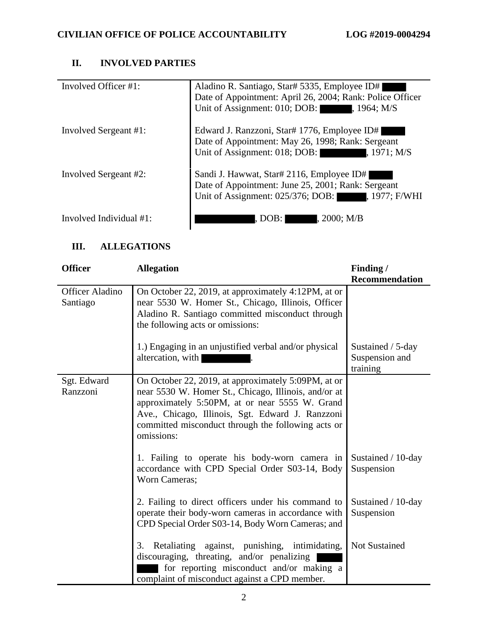# **II. INVOLVED PARTIES**

| Involved Officer #1:    | Aladino R. Santiago, Star# 5335, Employee ID#<br>Date of Appointment: April 26, 2004; Rank: Police Officer<br>Unit of Assignment: 010; DOB:<br>, 1964; M/S |
|-------------------------|------------------------------------------------------------------------------------------------------------------------------------------------------------|
| Involved Sergeant #1:   | Edward J. Ranzzoni, Star# 1776, Employee ID#<br>Date of Appointment: May 26, 1998; Rank: Sergeant<br>Unit of Assignment: 018; DOB:<br>1971: M/S            |
| Involved Sergeant #2:   | Sandi J. Hawwat, Star# 2116, Employee ID#<br>Date of Appointment: June 25, 2001; Rank: Sergeant<br>Unit of Assignment: 025/376; DOB:<br>, 1977; F/WHI      |
| Involved Individual #1: | l. 2000: M/B<br>. DOB: 1                                                                                                                                   |

# **III. ALLEGATIONS**

| <b>Officer</b>                     | <b>Allegation</b>                                                                                                                                                                                                                                                                     | Finding /                                       |
|------------------------------------|---------------------------------------------------------------------------------------------------------------------------------------------------------------------------------------------------------------------------------------------------------------------------------------|-------------------------------------------------|
|                                    |                                                                                                                                                                                                                                                                                       | <b>Recommendation</b>                           |
| <b>Officer Aladino</b><br>Santiago | On October 22, 2019, at approximately 4:12PM, at or<br>near 5530 W. Homer St., Chicago, Illinois, Officer<br>Aladino R. Santiago committed misconduct through<br>the following acts or omissions:                                                                                     |                                                 |
|                                    | 1.) Engaging in an unjustified verbal and/or physical<br>altercation, with                                                                                                                                                                                                            | Sustained / 5-day<br>Suspension and<br>training |
| Sgt. Edward<br>Ranzzoni            | On October 22, 2019, at approximately 5:09PM, at or<br>near 5530 W. Homer St., Chicago, Illinois, and/or at<br>approximately 5:50PM, at or near 5555 W. Grand<br>Ave., Chicago, Illinois, Sgt. Edward J. Ranzzoni<br>committed misconduct through the following acts or<br>omissions: |                                                 |
|                                    | 1. Failing to operate his body-worn camera in<br>accordance with CPD Special Order S03-14, Body<br><b>Worn Cameras</b> ;                                                                                                                                                              | Sustained / 10-day<br>Suspension                |
|                                    | 2. Failing to direct officers under his command to<br>operate their body-worn cameras in accordance with<br>CPD Special Order S03-14, Body Worn Cameras; and                                                                                                                          | Sustained / 10-day<br>Suspension                |
|                                    | Retaliating against, punishing, intimidating,<br>3.<br>discouraging, threating, and/or penalizing<br>for reporting misconduct and/or making a<br>complaint of misconduct against a CPD member.                                                                                        | <b>Not Sustained</b>                            |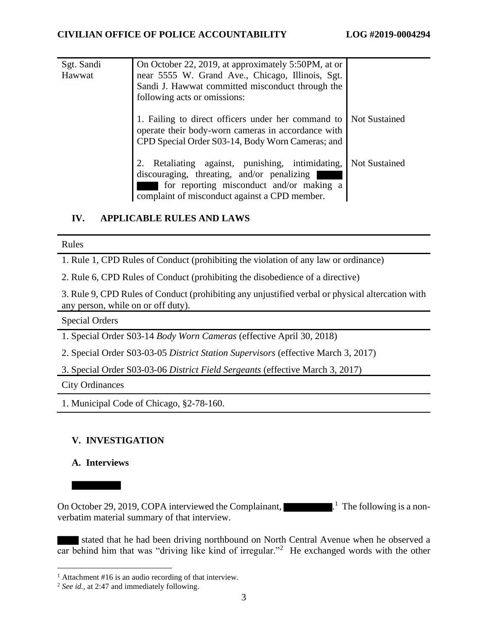| Sgt. Sandi<br>Hawwat | On October 22, 2019, at approximately 5:50PM, at or<br>near 5555 W. Grand Ave., Chicago, Illinois, Sgt.<br>Sandi J. Hawwat committed misconduct through the<br>following acts or omissions: |                      |
|----------------------|---------------------------------------------------------------------------------------------------------------------------------------------------------------------------------------------|----------------------|
|                      | 1. Failing to direct officers under her command to<br>operate their body-worn cameras in accordance with<br>CPD Special Order S03-14, Body Worn Cameras; and                                | <b>Not Sustained</b> |
|                      | Retaliating against, punishing, intimidating,<br>discouraging, threating, and/or penalizing<br>for reporting misconduct and/or making a<br>complaint of misconduct against a CPD member.    | <b>Not Sustained</b> |

## **IV. APPLICABLE RULES AND LAWS**

#### Rules

1. Rule 1, CPD Rules of Conduct (prohibiting the violation of any law or ordinance)

2. Rule 6, CPD Rules of Conduct (prohibiting the disobedience of a directive)

3. Rule 9, CPD Rules of Conduct (prohibiting any unjustified verbal or physical altercation with any person, while on or off duty).

Special Orders

1. Special Order S03-14 *Body Worn Cameras* (effective April 30, 2018)

2. Special Order S03-03-05 *District Station Supervisors* (effective March 3, 2017)

3. Special Order S03-03-06 *District Field Sergeants* (effective March 3, 2017)

City Ordinances

1. Municipal Code of Chicago, §2-78-160.

## **V. INVESTIGATION**

## **A. Interviews**

On October 29, 2019, COPA interviewed the Complainant,  $\blacksquare$  .<sup>1</sup> The following is a nonverbatim material summary of that interview.

 stated that he had been driving northbound on North Central Avenue when he observed a car behind him that was "driving like kind of irregular."<sup>2</sup> He exchanged words with the other

<sup>&</sup>lt;sup>1</sup> Attachment #16 is an audio recording of that interview.

<sup>2</sup> *See id.*, at 2:47 and immediately following.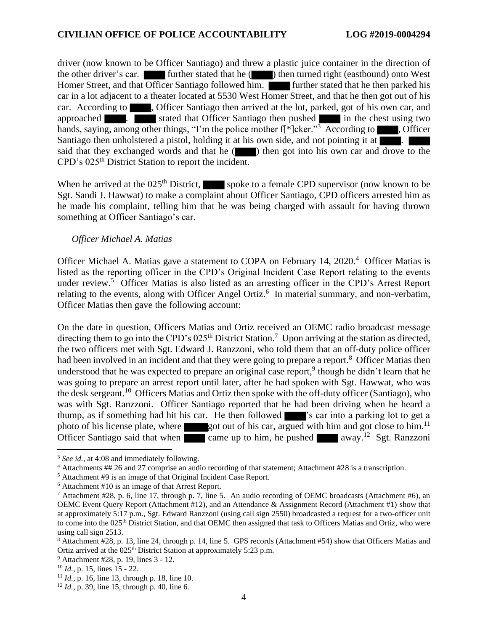### **CIVILIAN OFFICE OF POLICE ACCOUNTABILITY LOG #2019-0004294**

driver (now known to be Officer Santiago) and threw a plastic juice container in the direction of the other driver's car. **Further stated that he (** $\blacksquare$ ) then turned right (eastbound) onto West Homer Street, and that Officer Santiago followed him. **Further stated that he then parked his** car in a lot adjacent to a theater located at 5530 West Homer Street, and that he then got out of his car. According to , Officer Santiago then arrived at the lot, parked, got of his own car, and approached **a** stated that Officer Santiago then pushed in the chest using two hands, saying, among other things, "I'm the police mother  $f[^*]$ cker."<sup>3</sup> According to , Officer Santiago then unholstered a pistol, holding it at his own side, and not pointing it at  $\blacksquare$ . said that they exchanged words and that he (**see )** then got into his own car and drove to the CPD's 025<sup>th</sup> District Station to report the incident.

When he arrived at the  $025<sup>th</sup>$  District, spoke to a female CPD supervisor (now known to be Sgt. Sandi J. Hawwat) to make a complaint about Officer Santiago, CPD officers arrested him as he made his complaint, telling him that he was being charged with assault for having thrown something at Officer Santiago's car.

### *Officer Michael A. Matias*

Officer Michael A. Matias gave a statement to COPA on February 14, 2020.<sup>4</sup> Officer Matias is listed as the reporting officer in the CPD's Original Incident Case Report relating to the events under review.<sup>5</sup> Officer Matias is also listed as an arresting officer in the CPD's Arrest Report relating to the events, along with Officer Angel Ortiz.<sup>6</sup> In material summary, and non-verbatim, Officer Matias then gave the following account:

On the date in question, Officers Matias and Ortiz received an OEMC radio broadcast message directing them to go into the CPD's  $025<sup>th</sup>$  District Station.<sup>7</sup> Upon arriving at the station as directed, the two officers met with Sgt. Edward J. Ranzzoni, who told them that an off-duty police officer had been involved in an incident and that they were going to prepare a report.<sup>8</sup> Officer Matias then understood that he was expected to prepare an original case report,<sup>9</sup> though he didn't learn that he was going to prepare an arrest report until later, after he had spoken with Sgt. Hawwat, who was the desk sergeant.<sup>10</sup> Officers Matias and Ortiz then spoke with the off-duty officer (Santiago), who was with Sgt. Ranzzoni. Officer Santiago reported that he had been driving when he heard a thump, as if something had hit his car. He then followed solution is carried a parking lot to get a photo of his license plate, where got out of his car, argued with him and got close to him.<sup>11</sup> Officer Santiago said that when came up to him, he pushed away.<sup>12</sup> Sgt. Ranzzoni

<sup>3</sup> *See id.*, at 4:08 and immediately following.

<sup>4</sup> Attachments ## 26 and 27 comprise an audio recording of that statement; Attachment #28 is a transcription.

<sup>5</sup> Attachment #9 is an image of that Original Incident Case Report.

<sup>6</sup> Attachment #10 is an image of that Arrest Report.

<sup>7</sup> Attachment #28, p. 6, line 17, through p. 7, line 5. An audio recording of OEMC broadcasts (Attachment #6), an OEMC Event Query Report (Attachment #12), and an Attendance & Assignment Record (Attachment #1) show that at approximately 5:17 p.m., Sgt. Edward Ranzzoni (using call sign 2550) broadcasted a request for a two-officer unit to come into the 025<sup>th</sup> District Station, and that OEMC then assigned that task to Officers Matias and Ortiz, who were using call sign 2513.

<sup>8</sup> Attachment #28, p. 13, line 24, through p. 14, line 5. GPS records (Attachment #54) show that Officers Matias and Ortiz arrived at the 025<sup>th</sup> District Station at approximately 5:23 p.m.

<sup>9</sup> Attachment #28*,* p. 19, lines 3 - 12.

<sup>10</sup> *Id.*, p. 15, lines 15 - 22.

<sup>11</sup> *Id.*, p. 16, line 13, through p. 18, line 10.

<sup>12</sup> *Id.*, p. 39, line 15, through p. 40, line 6.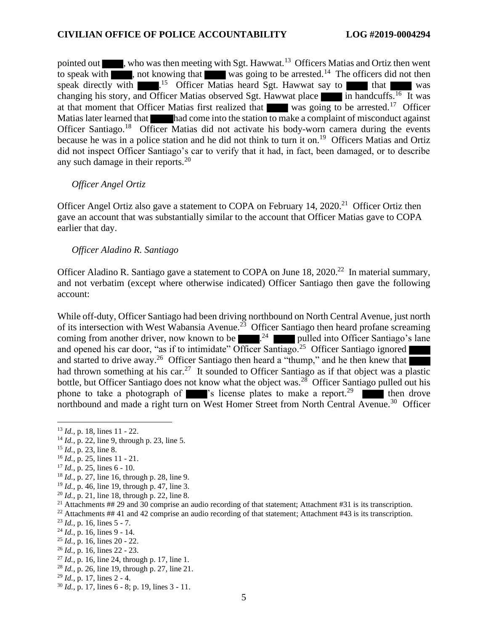pointed out  $\blacksquare$ , who was then meeting with Sgt. Hawwat.<sup>13</sup> Officers Matias and Ortiz then went to speak with  $\Box$ , not knowing that was going to be arrested.<sup>14</sup> The officers did not then speak directly with  $\blacksquare$ <sup>15</sup> Officer Matias heard Sgt. Hawwat say to that was changing his story, and Officer Matias observed Sgt. Hawwat place in handcuffs.<sup>16</sup> It was at that moment that Officer Matias first realized that was going to be arrested.<sup>17</sup> Officer Matias later learned that had come into the station to make a complaint of misconduct against Officer Santiago.<sup>18</sup> Officer Matias did not activate his body-worn camera during the events because he was in a police station and he did not think to turn it on.<sup>19</sup> Officers Matias and Ortiz did not inspect Officer Santiago's car to verify that it had, in fact, been damaged, or to describe any such damage in their reports.<sup>20</sup>

### *Officer Angel Ortiz*

Officer Angel Ortiz also gave a statement to COPA on February 14, 2020.<sup>21</sup> Officer Ortiz then gave an account that was substantially similar to the account that Officer Matias gave to COPA earlier that day.

### *Officer Aladino R. Santiago*

Officer Aladino R. Santiago gave a statement to COPA on June  $18$ ,  $2020$ <sup>22</sup> In material summary, and not verbatim (except where otherwise indicated) Officer Santiago then gave the following account:

While off-duty, Officer Santiago had been driving northbound on North Central Avenue, just north of its intersection with West Wabansia Avenue.<sup>23</sup> Officer Santiago then heard profane screaming coming from another driver, now known to be  $\blacksquare$  .<sup>24</sup> pulled into Officer Santiago's lane and opened his car door, "as if to intimidate" Officer Santiago.<sup>25</sup> Officer Santiago ignored and started to drive away.<sup>26</sup> Officer Santiago then heard a "thump," and he then knew that had thrown something at his car.<sup>27</sup> It sounded to Officer Santiago as if that object was a plastic bottle, but Officer Santiago does not know what the object was.<sup>28</sup> Officer Santiago pulled out his phone to take a photograph of  $\blacksquare$  's license plates to make a report.<sup>29</sup>  $\blacksquare$  then drove northbound and made a right turn on West Homer Street from North Central Avenue.<sup>30</sup> Officer

<sup>18</sup> *Id.*, p. 27, line 16, through p. 28, line 9.

- <sup>25</sup> *Id.*, p. 16, lines 20 22.
- <sup>26</sup> *Id.*, p. 16, lines 22 23.
- <sup>27</sup> *Id.*, p. 16, line 24, through p. 17, line 1.
- <sup>28</sup> *Id.*, p. 26, line 19, through p. 27, line 21.

<sup>13</sup> *Id.*, p. 18, lines 11 - 22.

<sup>14</sup> *Id.*, p. 22, line 9, through p. 23, line 5.

<sup>15</sup> *Id.*, p. 23, line 8.

<sup>16</sup> *Id.*, p. 25, lines 11 - 21.

<sup>17</sup> *Id.*, p. 25, lines 6 - 10.

<sup>19</sup> *Id.*, p. 46, line 19, through p. 47, line 3.

<sup>20</sup> *Id.*, p. 21, line 18, through p. 22, line 8.

<sup>&</sup>lt;sup>21</sup> Attachments  $#$  29 and 30 comprise an audio recording of that statement; Attachment  $#31$  is its transcription.

<sup>&</sup>lt;sup>22</sup> Attachments ## 41 and 42 comprise an audio recording of that statement; Attachment #43 is its transcription.

 $^{23}$  *Id.*, p. 16, lines  $5 - 7$ .

<sup>24</sup> *Id.*, p. 16, lines 9 - 14.

<sup>29</sup> *Id.*, p. 17, lines 2 - 4.

<sup>30</sup> *Id.*, p. 17, lines 6 - 8; p. 19, lines 3 - 11.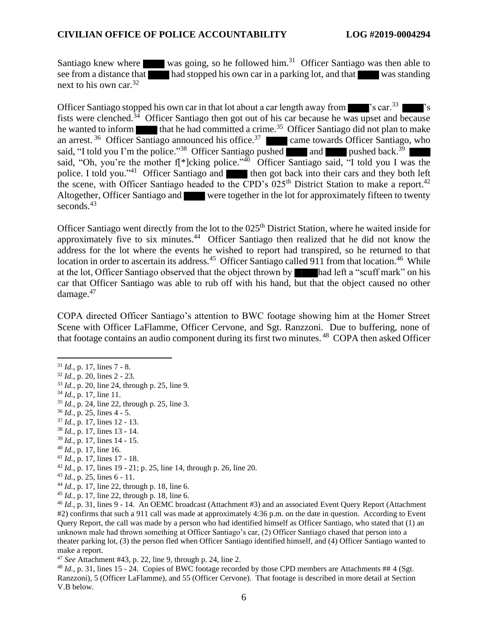Santiago knew where was going, so he followed him.<sup>31</sup> Officer Santiago was then able to see from a distance that had stopped his own car in a parking lot, and that was standing next to his own car.<sup>32</sup>

Officer Santiago stopped his own car in that lot about a car length away from  $\sim$  's car.<sup>33</sup>  $\mathbf{r}$ fists were clenched.<sup>34</sup> Officer Santiago then got out of his car because he was upset and because he wanted to inform that he had committed a crime.<sup>35</sup> Officer Santiago did not plan to make an arrest.<sup>36</sup> Officer Santiago announced his office.<sup>37</sup> came towards Officer Santiago, who said, "I told you I'm the police."<sup>38</sup> Officer Santiago pushed and pushed back.<sup>39</sup> said, "Oh, you're the mother f[\*]cking police."<sup>40</sup> Officer Santiago said, "I told you I was the police. I told you."<sup>41</sup> Officer Santiago and then got back into their cars and they both left the scene, with Officer Santiago headed to the CPD's  $025<sup>th</sup>$  District Station to make a report.<sup>42</sup> Altogether, Officer Santiago and were together in the lot for approximately fifteen to twenty seconds.<sup>43</sup>

Officer Santiago went directly from the lot to the  $025<sup>th</sup>$  District Station, where he waited inside for approximately five to six minutes.<sup>44</sup> Officer Santiago then realized that he did not know the address for the lot where the events he wished to report had transpired, so he returned to that location in order to ascertain its address.<sup>45</sup> Officer Santiago called 911 from that location.<sup>46</sup> While at the lot, Officer Santiago observed that the object thrown by had left a "scuff mark" on his car that Officer Santiago was able to rub off with his hand, but that the object caused no other damage.<sup>47</sup>

COPA directed Officer Santiago's attention to BWC footage showing him at the Homer Street Scene with Officer LaFlamme, Officer Cervone, and Sgt. Ranzzoni. Due to buffering, none of that footage contains an audio component during its first two minutes.<sup>48</sup> COPA then asked Officer

- <sup>37</sup> *Id.*, p. 17, lines 12 13.
- <sup>38</sup> *Id.*, p. 17, lines 13 14.
- <sup>39</sup> *Id.*, p. 17, lines 14 15.
- <sup>40</sup> *Id.*, p. 17, line 16.
- <sup>41</sup> *Id.*, p. 17, lines 17 18.
- <sup>42</sup> *Id.*, p. 17, lines 19 21; p. 25, line 14, through p. 26, line 20.
- <sup>43</sup> *Id.*, p. 25, lines 6 11.
- <sup>44</sup> *Id.*, p. 17, line 22, through p. 18, line 6.
- <sup>45</sup> *Id.*, p. 17, line 22, through p. 18, line 6.

<sup>46</sup> *Id.*, p. 31, lines 9 - 14. An OEMC broadcast (Attachment #3) and an associated Event Query Report (Attachment #2) confirms that such a 911 call was made at approximately 4:36 p.m. on the date in question. According to Event Query Report, the call was made by a person who had identified himself as Officer Santiago, who stated that (1) an unknown male had thrown something at Officer Santiago's car, (2) Officer Santiago chased that person into a theater parking lot, (3) the person fled when Officer Santiago identified himself, and (4) Officer Santiago wanted to make a report.

<sup>47</sup> *See* Attachment #43, p. 22, line 9, through p. 24, line 2.

<sup>48</sup> *Id.*, p. 31, lines 15 - 24. Copies of BWC footage recorded by those CPD members are Attachments ## 4 (Sgt. Ranzzoni), 5 (Officer LaFlamme), and 55 (Officer Cervone). That footage is described in more detail at Section V.B below.

<sup>31</sup> *Id.*, p. 17, lines 7 - 8.

<sup>32</sup> *Id.*, p. 20, lines 2 - 23.

<sup>33</sup> *Id.*, p. 20, line 24, through p. 25, line 9.

<sup>34</sup> *Id.*, p. 17, line 11.

<sup>35</sup> *Id.*, p. 24, line 22, through p. 25, line 3.

<sup>36</sup> *Id.*, p. 25, lines 4 - 5.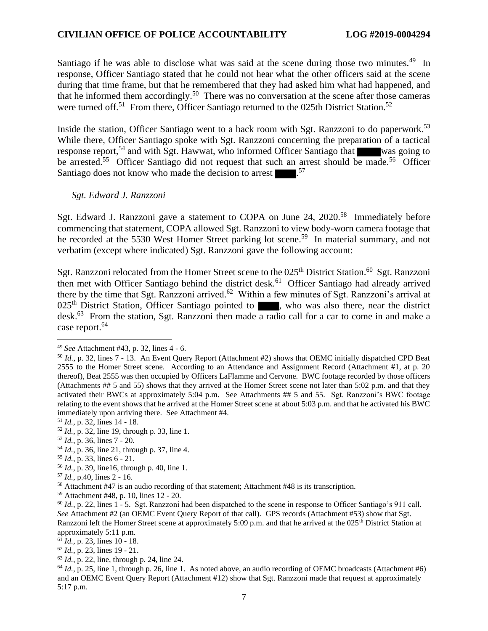#### **CIVILIAN OFFICE OF POLICE ACCOUNTABILITY LOG #2019-0004294**

Santiago if he was able to disclose what was said at the scene during those two minutes.<sup>49</sup> In response, Officer Santiago stated that he could not hear what the other officers said at the scene during that time frame, but that he remembered that they had asked him what had happened, and that he informed them accordingly.<sup>50</sup> There was no conversation at the scene after those cameras were turned off.<sup>51</sup> From there, Officer Santiago returned to the 025th District Station.<sup>52</sup>

Inside the station, Officer Santiago went to a back room with Sgt. Ranzzoni to do paperwork.<sup>53</sup> While there, Officer Santiago spoke with Sgt. Ranzzoni concerning the preparation of a tactical response report,<sup>54</sup> and with Sgt. Hawwat, who informed Officer Santiago that was going to be arrested.<sup>55</sup> Officer Santiago did not request that such an arrest should be made.<sup>56</sup> Officer Santiago does not know who made the decision to arrest  $\sim$   $57$ .

#### *Sgt. Edward J. Ranzzoni*

Sgt. Edward J. Ranzzoni gave a statement to COPA on June 24, 2020.<sup>58</sup> Immediately before commencing that statement, COPA allowed Sgt. Ranzzoni to view body-worn camera footage that he recorded at the 5530 West Homer Street parking lot scene.<sup>59</sup> In material summary, and not verbatim (except where indicated) Sgt. Ranzzoni gave the following account:

Sgt. Ranzzoni relocated from the Homer Street scene to the 025<sup>th</sup> District Station.<sup>60</sup> Sgt. Ranzzoni then met with Officer Santiago behind the district desk.<sup>61</sup> Officer Santiago had already arrived there by the time that Sgt. Ranzzoni arrived.<sup>62</sup> Within a few minutes of Sgt. Ranzzoni's arrival at  $025<sup>th</sup>$  District Station, Officer Santiago pointed to , who was also there, near the district desk.<sup>63</sup> From the station, Sgt. Ranzzoni then made a radio call for a car to come in and make a case report.<sup>64</sup>

<sup>55</sup> *Id.*, p. 33, lines 6 - 21.

<sup>57</sup> *Id.*, p.40, lines 2 - 16.

<sup>63</sup> *Id.*, p. 22, line, through p. 24, line 24.

<sup>49</sup> *See* Attachment #43, p. 32, lines 4 - 6.

<sup>50</sup> *Id.*, p. 32, lines 7 - 13. An Event Query Report (Attachment #2) shows that OEMC initially dispatched CPD Beat 2555 to the Homer Street scene. According to an Attendance and Assignment Record (Attachment #1, at p. 20 thereof), Beat 2555 was then occupied by Officers LaFlamme and Cervone. BWC footage recorded by those officers (Attachments ## 5 and 55) shows that they arrived at the Homer Street scene not later than 5:02 p.m. and that they activated their BWCs at approximately 5:04 p.m. See Attachments ## 5 and 55. Sgt. Ranzzoni's BWC footage relating to the event shows that he arrived at the Homer Street scene at about 5:03 p.m. and that he activated his BWC immediately upon arriving there. See Attachment #4.

<sup>51</sup> *Id.*, p. 32, lines 14 - 18.

<sup>52</sup> *Id.*, p. 32, line 19, through p. 33, line 1.

<sup>53</sup> *Id.*, p. 36, lines 7 - 20.

<sup>54</sup> *Id.*, p. 36, line 21, through p. 37, line 4.

<sup>56</sup> *Id.*, p. 39, line16, through p. 40, line 1.

<sup>&</sup>lt;sup>58</sup> Attachment #47 is an audio recording of that statement; Attachment #48 is its transcription.

<sup>59</sup> Attachment #48, p. 10, lines 12 - 20.

<sup>&</sup>lt;sup>60</sup> *Id.*, p. 22, lines 1 - 5. Sgt. Ranzzoni had been dispatched to the scene in response to Officer Santiago's 911 call. *See* Attachment #2 (an OEMC Event Query Report of that call). GPS records (Attachment #53) show that Sgt. Ranzzoni left the Homer Street scene at approximately 5:09 p.m. and that he arrived at the 025<sup>th</sup> District Station at approximately 5:11 p.m.

<sup>61</sup> *Id.*, p. 23, lines 10 - 18.

<sup>62</sup> *Id.*, p. 23, lines 19 - 21.

<sup>64</sup> *Id.*, p. 25, line 1, through p. 26, line 1. As noted above, an audio recording of OEMC broadcasts (Attachment #6) and an OEMC Event Query Report (Attachment #12) show that Sgt. Ranzzoni made that request at approximately 5:17 p.m.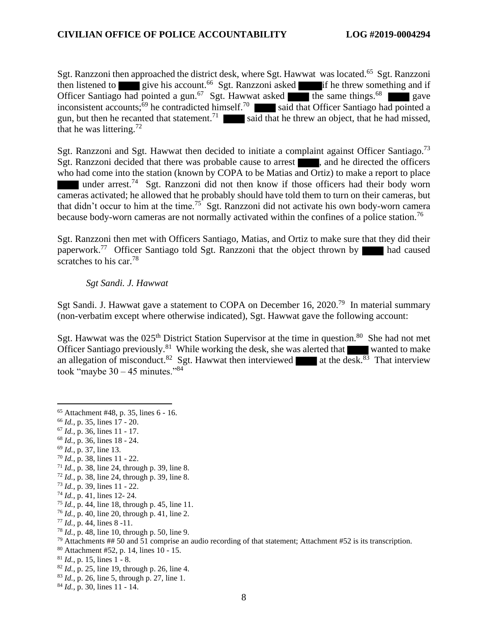Sgt. Ranzzoni then approached the district desk, where Sgt. Hawwat was located.<sup>65</sup> Sgt. Ranzzoni then listened to give his account.<sup>66</sup> Sgt. Ranzzoni asked if he threw something and if Officer Santiago had pointed a gun.<sup>67</sup> Sgt. Hawwat asked the same things.<sup>68</sup> gave inconsistent accounts;<sup>69</sup> he contradicted himself.<sup>70</sup> said that Officer Santiago had pointed a gun, but then he recanted that statement.<sup>71</sup> said that he threw an object, that he had missed, that he was littering.<sup>72</sup>

Sgt. Ranzzoni and Sgt. Hawwat then decided to initiate a complaint against Officer Santiago.<sup>73</sup> Sgt. Ranzzoni decided that there was probable cause to arrest , and he directed the officers who had come into the station (known by COPA to be Matias and Ortiz) to make a report to place under arrest.<sup>74</sup> Sgt. Ranzzoni did not then know if those officers had their body worn cameras activated; he allowed that he probably should have told them to turn on their cameras, but that didn't occur to him at the time.<sup>75</sup> Sgt. Ranzzoni did not activate his own body-worn camera because body-worn cameras are not normally activated within the confines of a police station.<sup>76</sup>

Sgt. Ranzzoni then met with Officers Santiago, Matias, and Ortiz to make sure that they did their paperwork.<sup>77</sup> Officer Santiago told Sgt. Ranzzoni that the object thrown by had caused scratches to his car.<sup>78</sup>

### *Sgt Sandi. J. Hawwat*

Sgt Sandi. J. Hawwat gave a statement to COPA on December 16, 2020.<sup>79</sup> In material summary (non-verbatim except where otherwise indicated), Sgt. Hawwat gave the following account:

Sgt. Hawwat was the 025<sup>th</sup> District Station Supervisor at the time in question.<sup>80</sup> She had not met Officer Santiago previously.<sup>81</sup> While working the desk, she was alerted that wanted to make an allegation of misconduct.<sup>82</sup> Sgt. Hawwat then interviewed at the desk.<sup>83</sup> That interview took "maybe  $30 - 45$  minutes."<sup>84</sup>

- <sup>68</sup> *Id.*, p. 36, lines 18 24.
- <sup>69</sup> *Id.*, p. 37, line 13.
- <sup>70</sup> *Id.*, p. 38, lines 11 22.
- <sup>71</sup> *Id.*, p. 38, line 24, through p. 39, line 8.
- <sup>72</sup> *Id.*, p. 38, line 24, through p. 39, line 8.
- <sup>73</sup> *Id.*, p. 39, lines 11 22.
- <sup>74</sup> *Id.*, p. 41, lines 12- 24.
- <sup>75</sup> *Id.*, p. 44, line 18, through p. 45, line 11.
- <sup>76</sup> *Id.*, p. 40, line 20, through p. 41, line 2.
- <sup>77</sup> *Id.*, p. 44, lines 8 -11.
- <sup>78</sup> *Id.*, p. 48, line 10, through p. 50, line 9.
- <sup>79</sup> Attachments ## 50 and 51 comprise an audio recording of that statement; Attachment #52 is its transcription.
- <sup>80</sup> Attachment #52, p. 14, lines 10 15.
- $81$  *Id.*, p. 15, lines 1 8.
- <sup>82</sup> *Id.*, p. 25, line 19, through p. 26, line 4.
- <sup>83</sup> *Id.*, p. 26, line 5, through p. 27, line 1.
- <sup>84</sup> *Id.*, p. 30, lines 11 14.

<sup>65</sup> Attachment #48, p. 35, lines 6 - 16.

<sup>66</sup> *Id.*, p. 35, lines 17 - 20.

<sup>67</sup> *Id.*, p. 36, lines 11 - 17.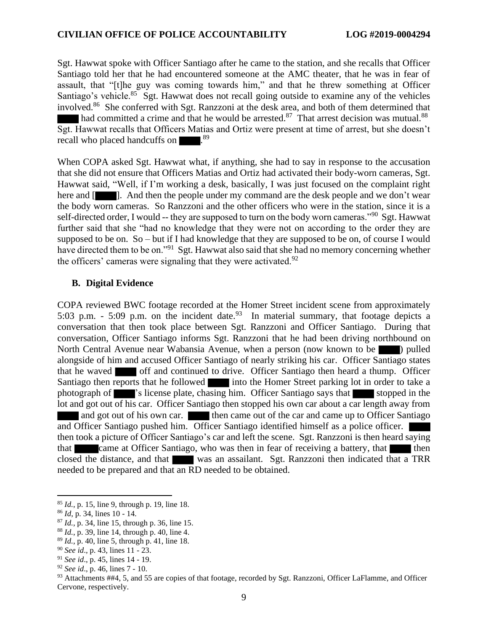Sgt. Hawwat spoke with Officer Santiago after he came to the station, and she recalls that Officer Santiago told her that he had encountered someone at the AMC theater, that he was in fear of assault, that "[t]he guy was coming towards him," and that he threw something at Officer Santiago's vehicle.<sup>85</sup> Sgt. Hawwat does not recall going outside to examine any of the vehicles involved.<sup>86</sup> She conferred with Sgt. Ranzzoni at the desk area, and both of them determined that had committed a crime and that he would be arrested.<sup>87</sup> That arrest decision was mutual.<sup>88</sup> Sgt. Hawwat recalls that Officers Matias and Ortiz were present at time of arrest, but she doesn't

recall who placed handcuffs on  $\sim$  .<sup>89</sup>

When COPA asked Sgt. Hawwat what, if anything, she had to say in response to the accusation that she did not ensure that Officers Matias and Ortiz had activated their body-worn cameras, Sgt. Hawwat said, "Well, if I'm working a desk, basically, I was just focused on the complaint right here and [ $\Box$ ]. And then the people under my command are the desk people and we don't wear the body worn cameras. So Ranzzoni and the other officers who were in the station, since it is a self-directed order, I would -- they are supposed to turn on the body worn cameras."<sup>90</sup> Sgt. Hawwat further said that she "had no knowledge that they were not on according to the order they are supposed to be on. So – but if I had knowledge that they are supposed to be on, of course I would have directed them to be on."<sup>91</sup> Sgt. Hawwat also said that she had no memory concerning whether the officers' cameras were signaling that they were activated. $92$ 

### **B. Digital Evidence**

COPA reviewed BWC footage recorded at the Homer Street incident scene from approximately 5:03 p.m. - 5:09 p.m. on the incident date.<sup>93</sup> In material summary, that footage depicts a conversation that then took place between Sgt. Ranzzoni and Officer Santiago. During that conversation, Officer Santiago informs Sgt. Ranzzoni that he had been driving northbound on North Central Avenue near Wabansia Avenue, when a person (now known to be ) pulled alongside of him and accused Officer Santiago of nearly striking his car. Officer Santiago states that he waved off and continued to drive. Officer Santiago then heard a thump. Officer Santiago then reports that he followed into the Homer Street parking lot in order to take a photograph of  $\blacksquare$  's license plate, chasing him. Officer Santiago says that stopped in the lot and got out of his car. Officer Santiago then stopped his own car about a car length away from and got out of his own car. then came out of the car and came up to Officer Santiago and Officer Santiago pushed him. Officer Santiago identified himself as a police officer. then took a picture of Officer Santiago's car and left the scene. Sgt. Ranzzoni is then heard saying that came at Officer Santiago, who was then in fear of receiving a battery, that then closed the distance, and that was an assailant. Sgt. Ranzzoni then indicated that a TRR needed to be prepared and that an RD needed to be obtained.

<sup>85</sup> *Id.*, p. 15, line 9, through p. 19, line 18.

<sup>86</sup> *Id*, p. 34, lines 10 - 14.

<sup>87</sup> *Id.*, p. 34, line 15, through p. 36, line 15.

<sup>88</sup> *Id.*, p. 39, line 14, through p. 40, line 4.

<sup>89</sup> *Id.*, p. 40, line 5, through p. 41, line 18.

<sup>90</sup> *See id*., p. 43, lines 11 - 23.

<sup>91</sup> *See id*., p. 45, lines 14 - 19.

<sup>92</sup> *See id*., p. 46, lines 7 - 10.

<sup>93</sup> Attachments ##4, 5, and 55 are copies of that footage, recorded by Sgt. Ranzzoni, Officer LaFlamme, and Officer Cervone, respectively.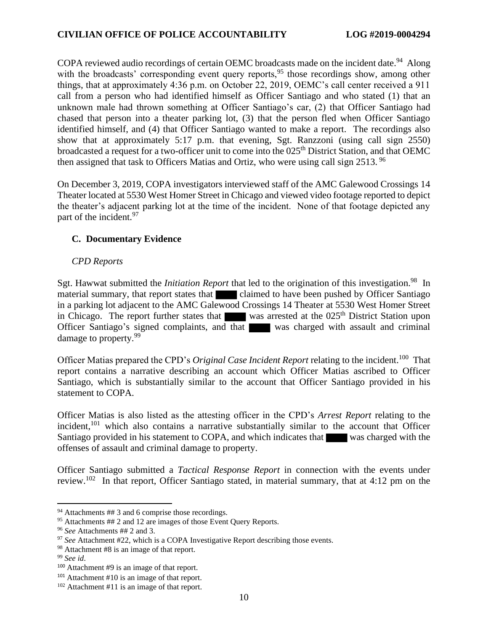COPA reviewed audio recordings of certain OEMC broadcasts made on the incident date.<sup>94</sup> Along with the broadcasts' corresponding event query reports,<sup>95</sup> those recordings show, among other things, that at approximately 4:36 p.m. on October 22, 2019, OEMC's call center received a 911 call from a person who had identified himself as Officer Santiago and who stated (1) that an unknown male had thrown something at Officer Santiago's car, (2) that Officer Santiago had chased that person into a theater parking lot, (3) that the person fled when Officer Santiago identified himself, and (4) that Officer Santiago wanted to make a report. The recordings also show that at approximately 5:17 p.m. that evening, Sgt. Ranzzoni (using call sign 2550) broadcasted a request for a two-officer unit to come into the 025<sup>th</sup> District Station, and that OEMC then assigned that task to Officers Matias and Ortiz, who were using call sign 2513.<sup>96</sup>

On December 3, 2019, COPA investigators interviewed staff of the AMC Galewood Crossings 14 Theater located at 5530 West Homer Street in Chicago and viewed video footage reported to depict the theater's adjacent parking lot at the time of the incident. None of that footage depicted any part of the incident.<sup>97</sup>

## **C. Documentary Evidence**

## *CPD Reports*

Sgt. Hawwat submitted the *Initiation Report* that led to the origination of this investigation.<sup>98</sup> In material summary, that report states that claimed to have been pushed by Officer Santiago in a parking lot adjacent to the AMC Galewood Crossings 14 Theater at 5530 West Homer Street in Chicago. The report further states that was arrested at the 025<sup>th</sup> District Station upon Officer Santiago's signed complaints, and that was charged with assault and criminal damage to property.<sup>99</sup>

Officer Matias prepared the CPD's *Original Case Incident Report* relating to the incident.<sup>100</sup> That report contains a narrative describing an account which Officer Matias ascribed to Officer Santiago, which is substantially similar to the account that Officer Santiago provided in his statement to COPA.

Officer Matias is also listed as the attesting officer in the CPD's *Arrest Report* relating to the incident, $101$  which also contains a narrative substantially similar to the account that Officer Santiago provided in his statement to COPA, and which indicates that was charged with the offenses of assault and criminal damage to property.

Officer Santiago submitted a *Tactical Response Report* in connection with the events under review.<sup>102</sup> In that report, Officer Santiago stated, in material summary, that at 4:12 pm on the

<sup>&</sup>lt;sup>94</sup> Attachments ## 3 and 6 comprise those recordings.

<sup>&</sup>lt;sup>95</sup> Attachments ## 2 and 12 are images of those Event Query Reports.

<sup>96</sup> *See* Attachments ## 2 and 3.

<sup>97</sup> *See* Attachment #22, which is a COPA Investigative Report describing those events.

<sup>98</sup> Attachment #8 is an image of that report.

<sup>99</sup> *See id*.

<sup>100</sup> Attachment #9 is an image of that report.

<sup>&</sup>lt;sup>101</sup> Attachment #10 is an image of that report.

<sup>102</sup> Attachment #11 is an image of that report.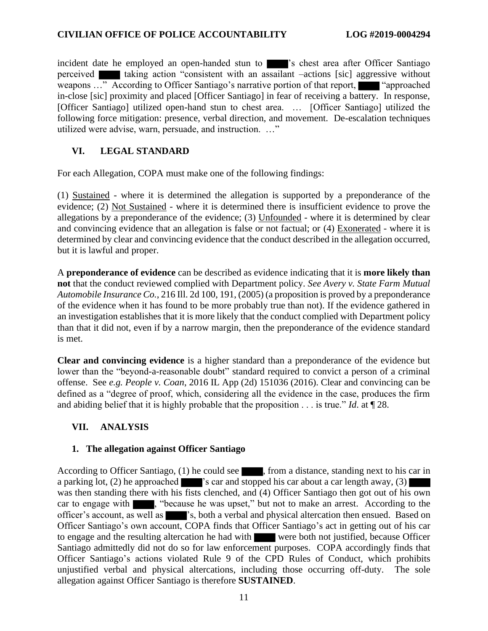incident date he employed an open-handed stun to 's chest area after Officer Santiago perceived taking action "consistent with an assailant –actions [sic] aggressive without weapons ..." According to Officer Santiago's narrative portion of that report, "approached" in-close [sic] proximity and placed [Officer Santiago] in fear of receiving a battery. In response, [Officer Santiago] utilized open-hand stun to chest area. … [Officer Santiago] utilized the following force mitigation: presence, verbal direction, and movement. De-escalation techniques utilized were advise, warn, persuade, and instruction. …"

## **VI. LEGAL STANDARD**

For each Allegation, COPA must make one of the following findings:

(1) Sustained - where it is determined the allegation is supported by a preponderance of the evidence; (2) Not Sustained - where it is determined there is insufficient evidence to prove the allegations by a preponderance of the evidence; (3) Unfounded - where it is determined by clear and convincing evidence that an allegation is false or not factual; or (4) Exonerated - where it is determined by clear and convincing evidence that the conduct described in the allegation occurred, but it is lawful and proper.

A **preponderance of evidence** can be described as evidence indicating that it is **more likely than not** that the conduct reviewed complied with Department policy. *See Avery v. State Farm Mutual Automobile Insurance Co.*, 216 Ill. 2d 100, 191, (2005) (a proposition is proved by a preponderance of the evidence when it has found to be more probably true than not). If the evidence gathered in an investigation establishes that it is more likely that the conduct complied with Department policy than that it did not, even if by a narrow margin, then the preponderance of the evidence standard is met.

**Clear and convincing evidence** is a higher standard than a preponderance of the evidence but lower than the "beyond-a-reasonable doubt" standard required to convict a person of a criminal offense. See *e.g. People v. Coan*, 2016 IL App (2d) 151036 (2016). Clear and convincing can be defined as a "degree of proof, which, considering all the evidence in the case, produces the firm and abiding belief that it is highly probable that the proposition . . . is true." *Id*. at ¶ 28.

## **VII. ANALYSIS**

## **1. The allegation against Officer Santiago**

According to Officer Santiago, (1) he could see , from a distance, standing next to his car in a parking lot, (2) he approached  $\blacksquare$  's car and stopped his car about a car length away, (3) was then standing there with his fists clenched, and (4) Officer Santiago then got out of his own car to engage with  $\blacksquare$ , "because he was upset," but not to make an arrest. According to the officer's account, as well as 's, both a verbal and physical altercation then ensued. Based on Officer Santiago's own account, COPA finds that Officer Santiago's act in getting out of his car to engage and the resulting altercation he had with were both not justified, because Officer Santiago admittedly did not do so for law enforcement purposes. COPA accordingly finds that Officer Santiago's actions violated Rule 9 of the CPD Rules of Conduct, which prohibits unjustified verbal and physical altercations, including those occurring off-duty. The sole allegation against Officer Santiago is therefore **SUSTAINED**.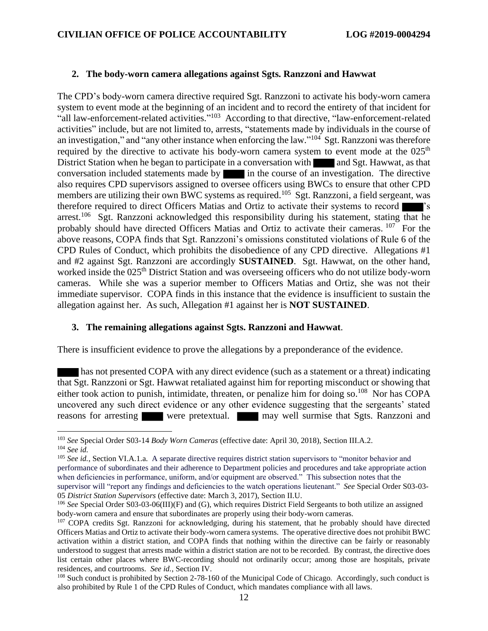### **2. The body-worn camera allegations against Sgts. Ranzzoni and Hawwat**

The CPD's body-worn camera directive required Sgt. Ranzzoni to activate his body-worn camera system to event mode at the beginning of an incident and to record the entirety of that incident for "all law-enforcement-related activities."<sup>103</sup> According to that directive, "law-enforcement-related activities" include, but are not limited to, arrests, "statements made by individuals in the course of an investigation," and "any other instance when enforcing the law."<sup>104</sup> Sgt. Ranzzoni was therefore required by the directive to activate his body-worn camera system to event mode at the 025<sup>th</sup> District Station when he began to participate in a conversation with and Sgt. Hawwat, as that conversation included statements made by in the course of an investigation. The directive also requires CPD supervisors assigned to oversee officers using BWCs to ensure that other CPD members are utilizing their own BWC systems as required.<sup>105</sup> Sgt. Ranzzoni, a field sergeant, was therefore required to direct Officers Matias and Ortiz to activate their systems to record arrest.<sup>106</sup> Sgt. Ranzzoni acknowledged this responsibility during his statement, stating that he probably should have directed Officers Matias and Ortiz to activate their cameras. <sup>107</sup> For the above reasons, COPA finds that Sgt. Ranzzoni's omissions constituted violations of Rule 6 of the CPD Rules of Conduct, which prohibits the disobedience of any CPD directive. Allegations #1 and #2 against Sgt. Ranzzoni are accordingly **SUSTAINED**. Sgt. Hawwat, on the other hand, worked inside the 025<sup>th</sup> District Station and was overseeing officers who do not utilize body-worn cameras. While she was a superior member to Officers Matias and Ortiz, she was not their immediate supervisor. COPA finds in this instance that the evidence is insufficient to sustain the allegation against her. As such, Allegation #1 against her is **NOT SUSTAINED**.

### **3. The remaining allegations against Sgts. Ranzzoni and Hawwat**.

There is insufficient evidence to prove the allegations by a preponderance of the evidence.

 has not presented COPA with any direct evidence (such as a statement or a threat) indicating that Sgt. Ranzzoni or Sgt. Hawwat retaliated against him for reporting misconduct or showing that either took action to punish, intimidate, threaten, or penalize him for doing so.<sup>108</sup> Nor has COPA uncovered any such direct evidence or any other evidence suggesting that the sergeants' stated reasons for arresting were pretextual. may well surmise that Sgts. Ranzzoni and

<sup>103</sup> *See* Special Order S03-14 *Body Worn Cameras* (effective date: April 30, 2018), Section III.A.2. <sup>104</sup> *See id.*

<sup>&</sup>lt;sup>105</sup> *See id.*, Section VI.A.1.a. A separate directive requires district station supervisors to "monitor behavior and performance of subordinates and their adherence to Department policies and procedures and take appropriate action when deficiencies in performance, uniform, and/or equipment are observed." This subsection notes that the supervisor will "report any findings and deficiencies to the watch operations lieutenant." *See* Special Order S03-03- 05 *District Station Supervisors* (effective date: March 3, 2017), Section II.U.

<sup>106</sup> *See* Special Order S03-03-06(III)(F) and (G), which requires District Field Sergeants to both utilize an assigned body-worn camera and ensure that subordinates are properly using their body-worn cameras.

<sup>&</sup>lt;sup>107</sup> COPA credits Sgt. Ranzzoni for acknowledging, during his statement, that he probably should have directed Officers Matias and Ortiz to activate their body-worn camera systems. The operative directive does not prohibit BWC activation within a district station, and COPA finds that nothing within the directive can be fairly or reasonably understood to suggest that arrests made within a district station are not to be recorded. By contrast, the directive does list certain other places where BWC-recording should not ordinarily occur; among those are hospitals, private residences, and courtrooms. *See id.*, Section IV.

<sup>&</sup>lt;sup>108</sup> Such conduct is prohibited by Section 2-78-160 of the Municipal Code of Chicago. Accordingly, such conduct is also prohibited by Rule 1 of the CPD Rules of Conduct, which mandates compliance with all laws.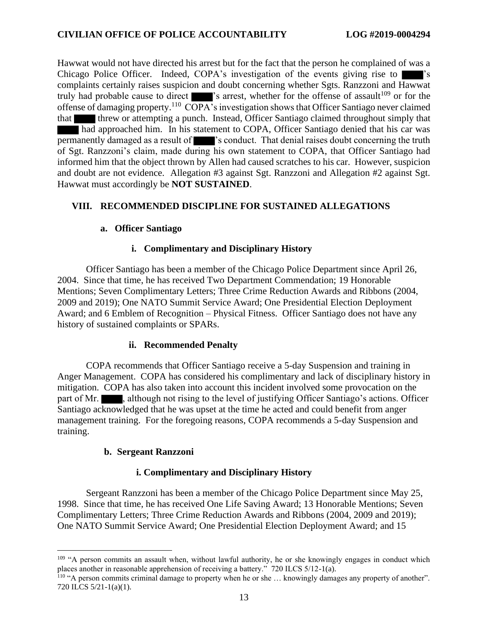Hawwat would not have directed his arrest but for the fact that the person he complained of was a Chicago Police Officer. Indeed, COPA's investigation of the events giving rise to complaints certainly raises suspicion and doubt concerning whether Sgts. Ranzzoni and Hawwat truly had probable cause to direct  $\blacksquare$  's arrest, whether for the offense of assault<sup>109</sup> or for the offense of damaging property.<sup>110</sup> COPA's investigation shows that Officer Santiago never claimed that threw or attempting a punch. Instead, Officer Santiago claimed throughout simply that had approached him. In his statement to COPA, Officer Santiago denied that his car was permanently damaged as a result of  $\blacksquare$  's conduct. That denial raises doubt concerning the truth of Sgt. Ranzzoni's claim, made during his own statement to COPA, that Officer Santiago had informed him that the object thrown by Allen had caused scratches to his car. However, suspicion and doubt are not evidence. Allegation #3 against Sgt. Ranzzoni and Allegation #2 against Sgt. Hawwat must accordingly be **NOT SUSTAINED**.

### **VIII. RECOMMENDED DISCIPLINE FOR SUSTAINED ALLEGATIONS**

### **a. Officer Santiago**

### **i. Complimentary and Disciplinary History**

Officer Santiago has been a member of the Chicago Police Department since April 26, 2004. Since that time, he has received Two Department Commendation; 19 Honorable Mentions; Seven Complimentary Letters; Three Crime Reduction Awards and Ribbons (2004, 2009 and 2019); One NATO Summit Service Award; One Presidential Election Deployment Award; and 6 Emblem of Recognition – Physical Fitness. Officer Santiago does not have any history of sustained complaints or SPARs.

#### **ii. Recommended Penalty**

COPA recommends that Officer Santiago receive a 5-day Suspension and training in Anger Management. COPA has considered his complimentary and lack of disciplinary history in mitigation. COPA has also taken into account this incident involved some provocation on the part of Mr.  $\blacksquare$ , although not rising to the level of justifying Officer Santiago's actions. Officer Santiago acknowledged that he was upset at the time he acted and could benefit from anger management training. For the foregoing reasons, COPA recommends a 5-day Suspension and training.

#### **b. Sergeant Ranzzoni**

### **i. Complimentary and Disciplinary History**

Sergeant Ranzzoni has been a member of the Chicago Police Department since May 25, 1998. Since that time, he has received One Life Saving Award; 13 Honorable Mentions; Seven Complimentary Letters; Three Crime Reduction Awards and Ribbons (2004, 2009 and 2019); One NATO Summit Service Award; One Presidential Election Deployment Award; and 15

<sup>&</sup>lt;sup>109</sup> "A person commits an assault when, without lawful authority, he or she knowingly engages in conduct which places another in reasonable apprehension of receiving a battery." 720 ILCS 5/12-1(a).

<sup>&</sup>lt;sup>110</sup> "A person commits criminal damage to property when he or she ... knowingly damages any property of another". 720 ILCS 5/21-1(a)(1).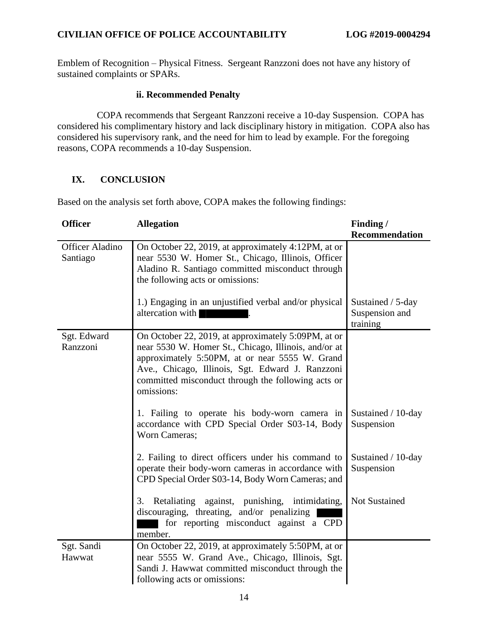Emblem of Recognition – Physical Fitness. Sergeant Ranzzoni does not have any history of sustained complaints or SPARs.

### **ii. Recommended Penalty**

COPA recommends that Sergeant Ranzzoni receive a 10-day Suspension. COPA has considered his complimentary history and lack disciplinary history in mitigation. COPA also has considered his supervisory rank, and the need for him to lead by example. For the foregoing reasons, COPA recommends a 10-day Suspension.

## **IX. CONCLUSION**

Based on the analysis set forth above, COPA makes the following findings:

| <b>Officer</b>                     | <b>Allegation</b>                                                                                                                                                                                                                                                                     | Finding /                                       |
|------------------------------------|---------------------------------------------------------------------------------------------------------------------------------------------------------------------------------------------------------------------------------------------------------------------------------------|-------------------------------------------------|
|                                    |                                                                                                                                                                                                                                                                                       | <b>Recommendation</b>                           |
| <b>Officer Aladino</b><br>Santiago | On October 22, 2019, at approximately 4:12PM, at or<br>near 5530 W. Homer St., Chicago, Illinois, Officer<br>Aladino R. Santiago committed misconduct through<br>the following acts or omissions:                                                                                     |                                                 |
|                                    | 1.) Engaging in an unjustified verbal and/or physical<br>altercation with                                                                                                                                                                                                             | Sustained / 5-day<br>Suspension and<br>training |
| Sgt. Edward<br>Ranzzoni            | On October 22, 2019, at approximately 5:09PM, at or<br>near 5530 W. Homer St., Chicago, Illinois, and/or at<br>approximately 5:50PM, at or near 5555 W. Grand<br>Ave., Chicago, Illinois, Sgt. Edward J. Ranzzoni<br>committed misconduct through the following acts or<br>omissions: |                                                 |
|                                    | 1. Failing to operate his body-worn camera in<br>accordance with CPD Special Order S03-14, Body<br>Worn Cameras;                                                                                                                                                                      | Sustained / 10-day<br>Suspension                |
|                                    | 2. Failing to direct officers under his command to<br>operate their body-worn cameras in accordance with<br>CPD Special Order S03-14, Body Worn Cameras; and                                                                                                                          | Sustained / 10-day<br>Suspension                |
|                                    | Retaliating against, punishing, intimidating,<br>3.<br>discouraging, threating, and/or penalizing<br>for reporting misconduct against a CPD<br>member.                                                                                                                                | <b>Not Sustained</b>                            |
| Sgt. Sandi<br>Hawwat               | On October 22, 2019, at approximately 5:50PM, at or<br>near 5555 W. Grand Ave., Chicago, Illinois, Sgt.<br>Sandi J. Hawwat committed misconduct through the<br>following acts or omissions:                                                                                           |                                                 |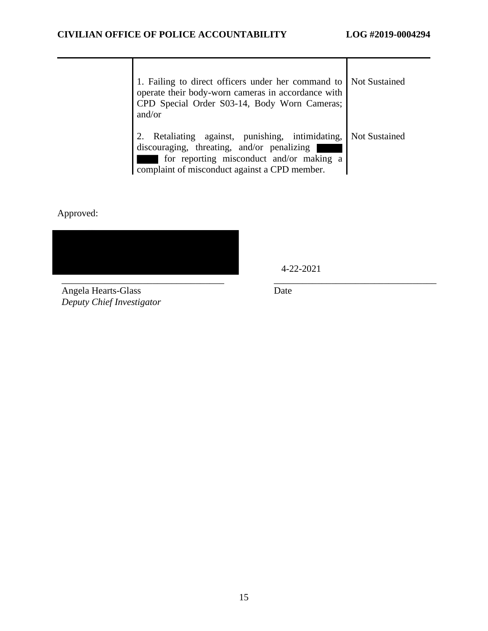| 1. Failing to direct officers under her command to Not Sustained |                      |
|------------------------------------------------------------------|----------------------|
| operate their body-worn cameras in accordance with               |                      |
| CPD Special Order S03-14, Body Worn Cameras;                     |                      |
| and/or                                                           |                      |
|                                                                  |                      |
| 2. Retaliating against, punishing, intimidating,                 | <b>Not Sustained</b> |
| discouraging, threating, and/or penalizing                       |                      |
| for reporting misconduct and/or making a                         |                      |
| complaint of misconduct against a CPD member.                    |                      |
|                                                                  |                      |

Approved:



4-22-2021

Angela Hearts-Glass *Deputy Chief Investigator* Date